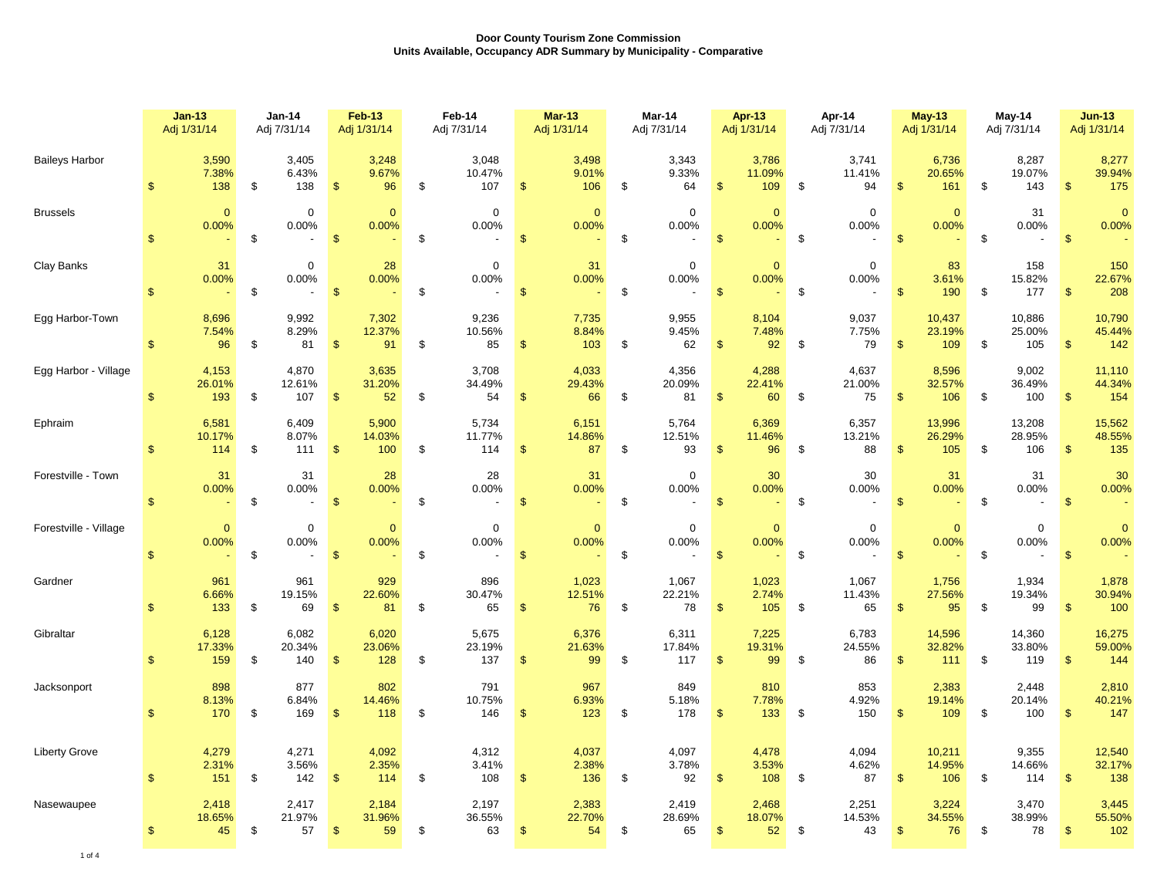|                       | $Jan-13$<br>Adj 1/31/14           |                       | <b>Jan-14</b><br>Adj 7/31/14 |               | <b>Feb-13</b><br>Adj 1/31/14 | Feb-14<br>Adj 7/31/14                                  |                | $Mar-13$<br>Adj 1/31/14 | Mar-14<br>Adj 7/31/14 |                        |                         | <b>Apr-13</b><br>Adj 1/31/14 |    | Apr-14<br>Adj 7/31/14 |                         | <b>May-13</b><br>Adj 1/31/14 |               | May-14<br>Adj 7/31/14         |                         | $Jun-13$<br>Adj 1/31/14 |
|-----------------------|-----------------------------------|-----------------------|------------------------------|---------------|------------------------------|--------------------------------------------------------|----------------|-------------------------|-----------------------|------------------------|-------------------------|------------------------------|----|-----------------------|-------------------------|------------------------------|---------------|-------------------------------|-------------------------|-------------------------|
| <b>Baileys Harbor</b> | 3,590<br><sup>\$</sup>            | 7.38%<br>138          | 3,405<br>6.43%<br>\$<br>138  | $\sqrt[6]{3}$ | 3,248<br>9.67%<br>96         | 3,048<br>10.47%<br>\$<br>107                           | \$             | 3,498<br>9.01%<br>106   | \$                    | 3,343<br>9.33%<br>64   | $\sqrt[6]{2}$           | 3,786<br>11.09%<br>109       | \$ | 3,741<br>11.41%<br>94 | $\mathfrak{S}$          | 6,736<br>20.65%<br>161       | \$            | 8,287<br>19.07%<br>143        | $\mathfrak{s}$          | 8,277<br>39.94%<br>175  |
| <b>Brussels</b>       | $\mathbf{s}$                      | $\mathbf{0}$<br>0.00% | 0<br>0.00%<br>\$             | $\mathbf{\$}$ | $\overline{0}$<br>0.00%      | $\mathbf 0$<br>0.00%<br>\$                             | $\sqrt[6]{3}$  | $\overline{0}$<br>0.00% | \$                    | $\mathbf 0$<br>0.00%   | $\mathbf{\$}$           | $\overline{0}$<br>0.00%      | \$ | $\mathbf 0$<br>0.00%  | $\mathfrak{s}$          | $\mathbf{0}$<br>0.00%        | \$            | 31<br>0.00%                   | $\mathsf{\$}$           | $\overline{0}$<br>0.00% |
| Clay Banks            | $\mathfrak{s}$                    | 31<br>0.00%           | $\mathbf 0$<br>0.00%<br>\$   | $\sqrt{3}$    | 28<br>0.00%                  | $\mathbf 0$<br>0.00%<br>\$<br>$\overline{\phantom{a}}$ | $\mathcal{S}$  | 31<br>0.00%             | \$                    | $\mathbf 0$<br>0.00%   | $\mathcal{S}$           | $\mathbf{0}$<br>0.00%        | \$ | $\mathbf 0$<br>0.00%  | $\mathfrak{F}$          | 83<br>3.61%<br>190           | \$            | 158<br>15.82%<br>177          | $\mathbf{\$}$           | 150<br>22.67%<br>208    |
| Egg Harbor-Town       | 8,696<br>$\mathbf{s}$             | 7.54%<br>96           | 9,992<br>8.29%<br>\$<br>81   | $\sqrt[6]{3}$ | 7,302<br>12.37%<br>91        | 9,236<br>10.56%<br>\$<br>85                            | $\frac{1}{2}$  | 7,735<br>8.84%<br>103   | \$                    | 9,955<br>9.45%<br>62   | $\frac{1}{2}$           | 8,104<br>7.48%<br>92         | \$ | 9,037<br>7.75%<br>79  | $\sqrt[6]{\frac{1}{2}}$ | 10,437<br>23.19%<br>109      | \$            | 10,886<br>25.00%<br>105       | $\mathbf{\$}$           | 10,790<br>45.44%<br>142 |
| Egg Harbor - Village  | 4,153<br>26.01%<br>$\mathfrak{F}$ | 193                   | 4,870<br>12.61%<br>\$<br>107 | $\sqrt[3]{5}$ | 3,635<br>31.20%<br>52        | 3,708<br>34.49%<br>54<br>\$                            | $\sqrt[6]{3}$  | 4,033<br>29.43%<br>66   | \$                    | 4,356<br>20.09%<br>81  | $\sqrt[6]{3}$           | 4,288<br>22.41%<br>60        | \$ | 4,637<br>21.00%<br>75 | $\mathfrak{S}$          | 8,596<br>32.57%<br>106       | \$            | 9,002<br>36.49%<br>100        | $\sqrt[6]{3}$           | 11,110<br>44.34%<br>154 |
| Ephraim               | 6,581<br>10.17%<br>$\mathbf{\$}$  | 114                   | 6,409<br>8.07%<br>\$<br>111  | $\sqrt{3}$    | 5,900<br>14.03%<br>100       | 5,734<br>11.77%<br>\$<br>114                           | $\sqrt{3}$     | 6,151<br>14.86%<br>87   | \$                    | 5,764<br>12.51%<br>93  | -\$                     | 6,369<br>11.46%<br>96        | \$ | 6,357<br>13.21%<br>88 | $\sqrt{2}$              | 13,996<br>26.29%<br>105      | \$            | 13,208<br>28.95%<br>106       | $\mathbf{\$}$           | 15,562<br>48.55%<br>135 |
| Forestville - Town    | $\mathbf{s}$                      | 31<br>0.00%           | 31<br>0.00%<br>\$            | $\sqrt{2}$    | 28<br>0.00%                  | 28<br>0.00%<br>\$<br>$\blacksquare$                    | $\sqrt{2}$     | 31<br>0.00%             | \$                    | $\mathbf 0$<br>0.00%   | $\sqrt[6]{\frac{1}{2}}$ | 30<br>0.00%                  | \$ | 30<br>0.00%           | $\sqrt[6]{3}$           | 31<br>0.00%                  | \$            | 31<br>0.00%<br>$\blacksquare$ | $\sqrt[6]{\frac{1}{2}}$ | 30<br>0.00%             |
| Forestville - Village | $\mathbf{\$}$                     | $\mathbf{0}$<br>0.00% | 0<br>0.00%<br>$\,$           | $\mathcal{S}$ | $\mathbf{0}$<br>0.00%        | $\mathbf 0$<br>0.00%<br>\$                             | $\sqrt[6]{3}$  | $\mathbf{0}$<br>0.00%   | \$                    | $\mathbf 0$<br>0.00%   | $\mathbf{\$}$           | $\mathbf{0}$<br>0.00%        | \$ | $\mathbf 0$<br>0.00%  | $\mathbf{\$}$           | $\mathbf{0}$<br>0.00%        | $\mathfrak s$ | $\mathbf 0$<br>0.00%          | $\mathfrak{S}$          | $\mathbf{0}$<br>0.00%   |
| Gardner               | $\mathbf{\$}$                     | 961<br>6.66%<br>133   | 961<br>19.15%<br>\$<br>69    | $\mathbf{\$}$ | 929<br>22.60%<br>81          | 896<br>30.47%<br>\$<br>65                              | $\mathfrak{S}$ | 1,023<br>12.51%<br>76   | \$                    | 1,067<br>22.21%<br>78  | $\mathbf{\$}$           | 1,023<br>2.74%<br>105        | \$ | 1,067<br>11.43%<br>65 | $\mathfrak{S}$          | 1,756<br>27.56%<br>95        | \$            | 1,934<br>19.34%<br>99         | \$                      | 1,878<br>30.94%<br>100  |
| Gibraltar             | 6,128<br>17.33%<br><sup>\$</sup>  | 159                   | 6,082<br>20.34%<br>\$<br>140 | $\mathbf{\$}$ | 6,020<br>23.06%<br>128       | 5,675<br>23.19%<br>\$<br>137                           | $\mathfrak{S}$ | 6,376<br>21.63%<br>99   | \$                    | 6,311<br>17.84%<br>117 | $\mathfrak{F}$          | 7,225<br>19.31%<br>99        | \$ | 6,783<br>24.55%<br>86 | $\mathfrak{s}$          | 14,596<br>32.82%<br>111      | \$            | 14,360<br>33.80%<br>119       | $\mathbf{s}$            | 16,275<br>59.00%<br>144 |
| Jacksonport           | $\mathbf{s}$                      | 898<br>8.13%<br>170   | 877<br>6.84%<br>\$<br>169    | $\mathbf{\$}$ | 802<br>14.46%<br>118         | 791<br>10.75%<br>146<br>\$                             | $\mathsf{\$}$  | 967<br>6.93%<br>123     | \$                    | 849<br>5.18%<br>178    | $\mathfrak{F}$          | 810<br>7.78%<br>133          | \$ | 853<br>4.92%<br>150   | $\mathfrak{S}$          | 2,383<br>19.14%<br>109       | \$            | 2,448<br>20.14%<br>100        | $\mathfrak{s}$          | 2,810<br>40.21%<br>147  |
| <b>Liberty Grove</b>  | 4,279<br>\$                       | 2.31%<br>151          | 4,271<br>3.56%<br>\$<br>142  | $\mathbf{\$}$ | 4,092<br>2.35%<br>114        | 4,312<br>3.41%<br>108<br>\$                            | $\sqrt[6]{3}$  | 4,037<br>2.38%<br>136   | \$                    | 4,097<br>3.78%<br>92   | \$                      | 4,478<br>3.53%<br>108        | \$ | 4,094<br>4.62%<br>87  | $\mathfrak{S}$          | 10,211<br>14.95%<br>106      | \$            | 9,355<br>14.66%<br>114        | $\mathfrak{s}$          | 12,540<br>32.17%<br>138 |
| Nasewaupee            | 2,418<br>18.65%<br>$\mathfrak{S}$ | 45                    | 2,417<br>21.97%<br>\$<br>57  | $\sqrt{3}$    | 2,184<br>31.96%<br>59        | 2,197<br>36.55%<br>\$<br>63                            | $\sqrt{2}$     | 2,383<br>22.70%<br>54   | \$                    | 2,419<br>28.69%<br>65  | $\frac{1}{2}$           | 2,468<br>18.07%<br>52        | \$ | 2,251<br>14.53%<br>43 | $\frac{1}{2}$           | 3,224<br>34.55%<br>76        | \$            | 3,470<br>38.99%<br>78         | $\mathbf{\$}$           | 3,445<br>55.50%<br>102  |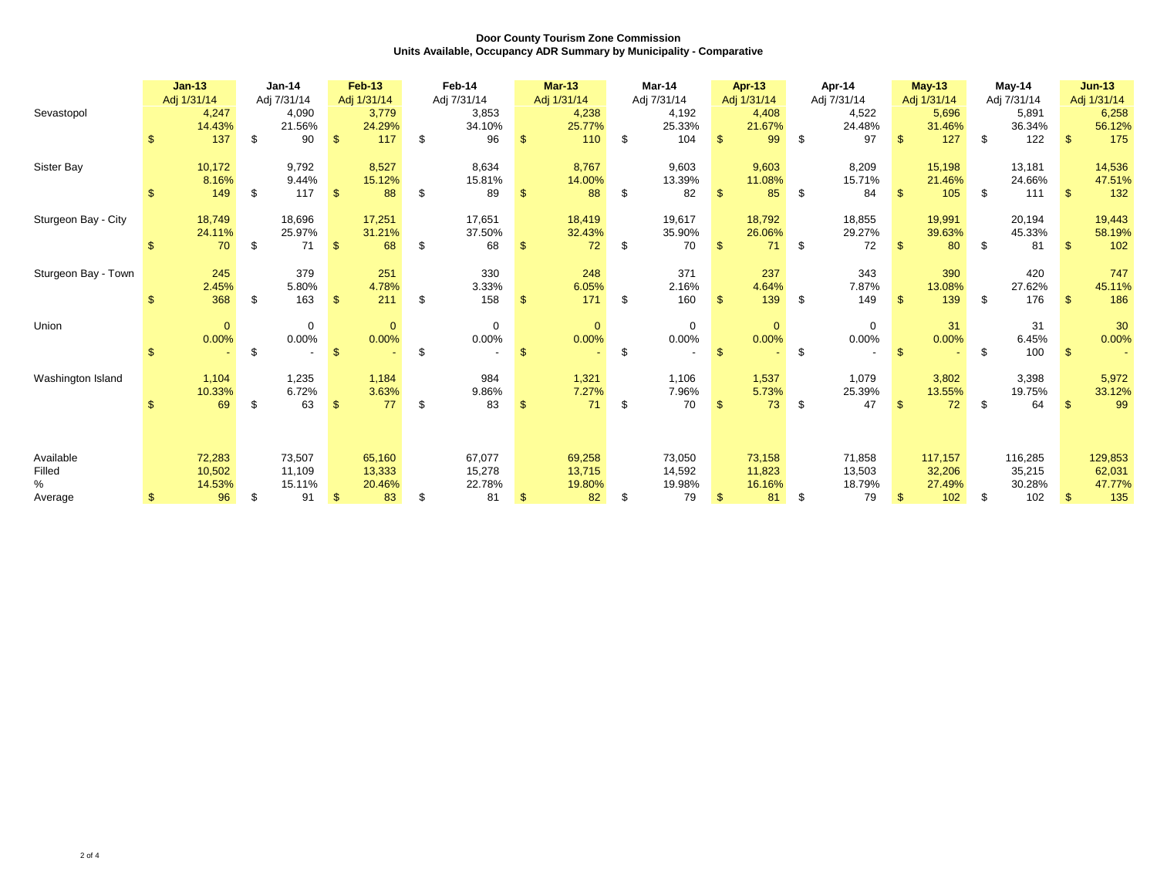| Sevastopol                  |               | $Jan-13$<br>Adj 1/31/14    | <b>Jan-14</b><br>Adj 7/31/14<br>4,247<br>4,090 |                            |                | <b>Feb-13</b><br>Adj 1/31/14<br>3,779 | Feb-14<br>Adj 7/31/14<br>3,853 |                | <b>Mar-13</b><br>Adj 1/31/14<br>4,238 |     | Mar-14<br>Adj 7/31/14<br>4,192 |                | <b>Apr-13</b><br>Adj 1/31/14<br>4,408 |     | Apr-14<br>Adj 7/31/14<br>4,522 | $May-13$<br>Adj 1/31/14<br>5,696 |                             | $May-14$<br>Adj 7/31/14<br>5,891 |                             |                         | $Jun-13$<br>Adj 1/31/14<br>6,258 |
|-----------------------------|---------------|----------------------------|------------------------------------------------|----------------------------|----------------|---------------------------------------|--------------------------------|----------------|---------------------------------------|-----|--------------------------------|----------------|---------------------------------------|-----|--------------------------------|----------------------------------|-----------------------------|----------------------------------|-----------------------------|-------------------------|----------------------------------|
|                             | \$.           | 14.43%<br>137              | \$                                             | 21.56%<br>90               | -\$            | 24.29%<br>117                         | \$<br>34.10%<br>96             | $\mathbf{s}$   | 25.77%<br>110                         | \$  | 25.33%<br>104                  | $\mathbb{S}$   | 21.67%<br>99                          | \$  | 24.48%<br>97                   | $\mathbf{s}$                     | 31.46%<br>127               | \$                               | 36.34%<br>122               | -\$                     | 56.12%<br>175                    |
| Sister Bay                  |               | 10,172<br>8.16%            |                                                | 9,792<br>9.44%             |                | 8,527<br>15.12%                       | 8,634<br>15.81%                |                | 8,767<br>14.00%                       |     | 9,603<br>13.39%                |                | 9,603<br>11.08%                       |     | 8,209<br>15.71%                |                                  | 15,198<br>21.46%            |                                  | 13,181<br>24.66%            |                         | 14,536<br>47.51%                 |
| Sturgeon Bay - City         | $\mathcal{F}$ | 149<br>18,749              | \$                                             | 117<br>18,696              | - \$           | 88<br>17,251                          | \$<br>89<br>17,651             | $\mathbf{\$}$  | 88<br>18,419                          |     | 82<br>19,617                   |                | 85<br>18,792                          | \$  | 84<br>18,855                   | £.                               | 105<br>19,991               | - \$                             | 111<br>20,194               | -S                      | 132<br>19,443                    |
|                             |               | 24.11%<br>70               | \$                                             | 25.97%<br>71               | -\$            | 31.21%<br>68                          | \$<br>37.50%<br>68             | $\mathbb{S}$   | 32.43%<br>72                          | \$  | 35.90%<br>70                   | $\mathbf{\$}$  | 26.06%<br>71                          | \$  | 29.27%<br>72                   | £.                               | 39.63%<br>80                | \$.                              | 45.33%<br>81                | $\mathbf{\mathfrak{L}}$ | 58.19%<br>102                    |
| Sturgeon Bay - Town         |               | 245<br>2.45%               |                                                | 379<br>5.80%               |                | 251<br>4.78%                          | 330<br>3.33%                   |                | 248<br>6.05%                          |     | 371<br>2.16%                   |                | 237<br>4.64%                          |     | 343<br>7.87%                   |                                  | 390<br>13.08%               |                                  | 420<br>27.62%               |                         | 747<br>45.11%                    |
| Union                       | \$.           | 368<br>$\mathbf{0}$        | \$                                             | 163<br>$\mathbf 0$         | - \$           | 211<br>$\mathbf{0}$                   | \$<br>158<br>$\mathbf{0}$      | $\mathbf{\$}$  | 171<br>$\overline{0}$                 | \$  | 160<br>$\mathbf 0$             | $\mathfrak{s}$ | 139<br>$\mathbf{0}$                   | -\$ | 149<br>$\mathbf 0$             | $\mathbb{S}$                     | 139<br>31                   | - \$                             | 176<br>31                   | -\$                     | 186<br>30                        |
|                             | $\mathbf{\$}$ | 0.00%                      | \$                                             | $0.00\%$                   | $\mathfrak{S}$ | 0.00%                                 | \$<br>$0.00\%$                 | $\mathfrak{L}$ | 0.00%                                 | \$. | 0.00%                          | $\mathbf{F}$   | 0.00%                                 | \$  | 0.00%                          | £.                               | 0.00%                       | \$                               | 6.45%<br>100                | $\mathfrak{S}$          | 0.00%                            |
| Washington Island           |               | 1,104<br>10.33%<br>69      | \$                                             | 1,235<br>6.72%<br>63       | $\mathbb{S}$   | 1,184<br>3.63%<br>77                  | \$<br>984<br>9.86%<br>83       | $\mathfrak{S}$ | 1,321<br>7.27%<br>71                  | \$  | 1,106<br>7.96%<br>70           | $\mathbf{s}$   | 1,537<br>5.73%<br>73                  | \$  | 1,079<br>25.39%<br>47          | \$                               | 3,802<br>13.55%<br>72       | \$                               | 3,398<br>19.75%<br>64       | -\$                     | 5,972<br>33.12%<br>99            |
|                             |               |                            |                                                |                            |                |                                       |                                |                |                                       |     |                                |                |                                       |     |                                |                                  |                             |                                  |                             |                         |                                  |
| Available<br>Filled<br>$\%$ |               | 72,283<br>10,502<br>14.53% |                                                | 73,507<br>11,109<br>15.11% |                | 65,160<br>13,333<br>20.46%            | 67,077<br>15,278<br>22.78%     |                | 69,258<br>13,715<br>19.80%            |     | 73,050<br>14,592<br>19.98%     |                | 73,158<br>11,823<br>16.16%            |     | 71,858<br>13,503<br>18.79%     |                                  | 117,157<br>32,206<br>27.49% |                                  | 116,285<br>35,215<br>30.28% |                         | 129,853<br>62,031<br>47.77%      |
| Average                     | \$.           | 96                         | \$                                             | 91                         | $\mathbf{\$}$  | 83                                    | \$<br>81                       | \$             | 82                                    | \$  | 79                             | S.             | 81                                    | \$  | 79                             | $\mathbb{S}$                     | 102                         | \$                               | 102                         | $\mathbb{S}$            | 135                              |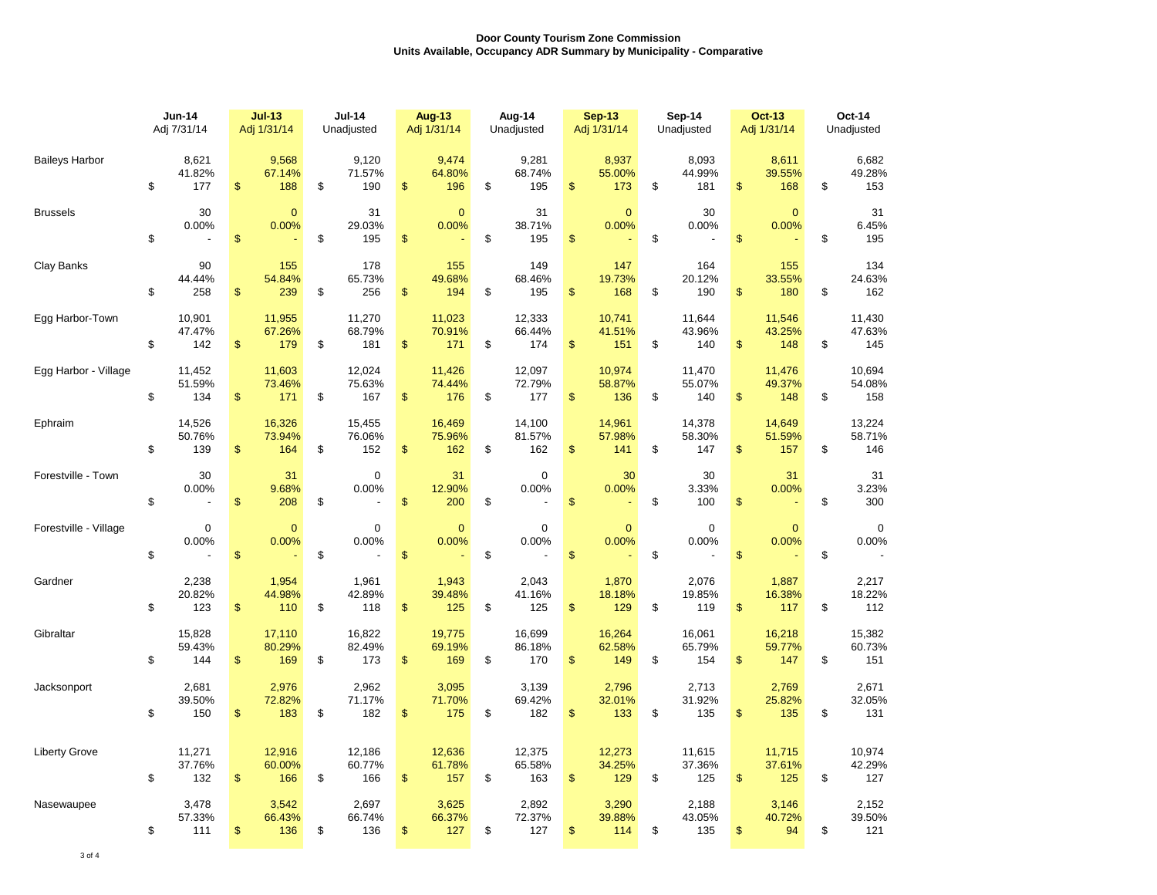|                       | <b>Jun-14</b><br>Adj 7/31/14 |                         |                | $Jul-13$<br>Adj 1/31/14 | <b>Jul-14</b><br>Unadjusted   |               | <b>Aug-13</b><br>Adj 1/31/14 | Aug-14<br>Unadjusted |                         |                   | <b>Sep-13</b><br>Adj 1/31/14 |    | Sep-14<br>Unadjusted    | <b>Oct-13</b><br>Adj 1/31/14 |                                         | Oct-14<br>Unadjusted |                         |  |
|-----------------------|------------------------------|-------------------------|----------------|-------------------------|-------------------------------|---------------|------------------------------|----------------------|-------------------------|-------------------|------------------------------|----|-------------------------|------------------------------|-----------------------------------------|----------------------|-------------------------|--|
| <b>Baileys Harbor</b> | \$                           | 8,621<br>41.82%<br>177  | \$             | 9,568<br>67.14%<br>188  | \$<br>9,120<br>71.57%<br>190  | $\frac{2}{3}$ | 9,474<br>64.80%<br>196       | \$                   | 9,281<br>68.74%<br>195  | \$                | 8,937<br>55.00%<br>173       | \$ | 8,093<br>44.99%<br>181  | \$                           | 8,611<br>39.55%<br>168                  | \$                   | 6,682<br>49.28%<br>153  |  |
| <b>Brussels</b>       | \$                           | 30<br>0.00%             | \$             | $\Omega$<br>0.00%       | \$<br>31<br>29.03%<br>195     | $\frac{2}{3}$ | $\mathbf{0}$<br>0.00%        | \$                   | 31<br>38.71%<br>195     | \$                | $\Omega$<br>0.00%            | \$ | 30<br>0.00%             | $\mathsf{\$}$                | $\Omega$<br>0.00%                       | \$                   | 31<br>6.45%<br>195      |  |
| Clay Banks            | \$                           | 90<br>44.44%<br>258     | \$             | 155<br>54.84%<br>239    | \$<br>178<br>65.73%<br>256    | $\mathsf{\$}$ | 155<br>49.68%<br>194         | \$                   | 149<br>68.46%<br>195    | $\mathfrak{F}$    | 147<br>19.73%<br>168         | \$ | 164<br>20.12%<br>190    | $\mathsf{\$}$                | 155<br>33.55%<br>180                    | \$                   | 134<br>24.63%<br>162    |  |
| Egg Harbor-Town       | \$                           | 10,901<br>47.47%<br>142 | \$             | 11,955<br>67.26%<br>179 | \$<br>11,270<br>68.79%<br>181 | \$            | 11,023<br>70.91%<br>171      | \$                   | 12,333<br>66.44%<br>174 | $\frac{2}{3}$     | 10,741<br>41.51%<br>151      | \$ | 11,644<br>43.96%<br>140 | \$                           | 11,546<br>43.25%<br>148                 | \$                   | 11,430<br>47.63%<br>145 |  |
| Egg Harbor - Village  | \$                           | 11,452<br>51.59%<br>134 | \$             | 11,603<br>73.46%<br>171 | \$<br>12,024<br>75.63%<br>167 | \$            | 11,426<br>74.44%<br>176      | \$                   | 12,097<br>72.79%<br>177 | \$                | 10,974<br>58.87%<br>136      | \$ | 11,470<br>55.07%<br>140 | $\mathfrak{s}$               | 11,476<br>49.37%<br>148                 | \$                   | 10.694<br>54.08%<br>158 |  |
| Ephraim               | \$                           | 14,526<br>50.76%<br>139 | \$             | 16,326<br>73.94%<br>164 | \$<br>15,455<br>76.06%<br>152 | $\mathsf{\$}$ | 16,469<br>75.96%<br>162      | \$                   | 14,100<br>81.57%<br>162 | $\mathfrak{S}$    | 14,961<br>57.98%<br>141      | \$ | 14,378<br>58.30%<br>147 | \$                           | 14,649<br>51.59%<br>157                 | \$                   | 13,224<br>58.71%<br>146 |  |
| Forestville - Town    | \$                           | 30<br>0.00%             | \$             | 31<br>9.68%<br>208      | \$<br>$\mathbf 0$<br>0.00%    | \$            | 31<br>12.90%<br>200          | \$                   | $\mathbf 0$<br>0.00%    | $\boldsymbol{\$}$ | 30<br>0.00%                  | \$ | 30<br>3.33%<br>100      | \$                           | 31<br>0.00%<br>$\overline{\phantom{a}}$ | \$                   | 31<br>3.23%<br>300      |  |
| Forestville - Village | \$                           | $\mathbf 0$<br>0.00%    | \$             | $\overline{0}$<br>0.00% | \$<br>$\mathbf 0$<br>0.00%    | \$            | $\mathbf{0}$<br>0.00%        | \$                   | $\mathbf 0$<br>0.00%    | \$                | $\overline{0}$<br>0.00%      | \$ | $\mathbf 0$<br>0.00%    | \$                           | $\mathbf{0}$<br>0.00%                   | \$                   | $\mathbf 0$<br>0.00%    |  |
| Gardner               | \$                           | 2,238<br>20.82%<br>123  | $\mathfrak{s}$ | 1,954<br>44.98%<br>110  | \$<br>1,961<br>42.89%<br>118  | $\mathsf{\$}$ | 1,943<br>39.48%<br>125       | \$                   | 2,043<br>41.16%<br>125  | $\mathfrak{S}$    | 1,870<br>18.18%<br>129       | \$ | 2,076<br>19.85%<br>119  | $\mathsf{\$}$                | 1,887<br>16.38%<br>117                  | \$                   | 2,217<br>18.22%<br>112  |  |
| Gibraltar             | \$                           | 15,828<br>59.43%<br>144 | \$             | 17,110<br>80.29%<br>169 | \$<br>16,822<br>82.49%<br>173 | $\mathsf{\$}$ | 19,775<br>69.19%<br>169      | \$                   | 16,699<br>86.18%<br>170 | \$                | 16,264<br>62.58%<br>149      | \$ | 16,061<br>65.79%<br>154 | $\mathsf{\$}$                | 16,218<br>59.77%<br>147                 | \$                   | 15,382<br>60.73%<br>151 |  |
| Jacksonport           | \$                           | 2,681<br>39.50%<br>150  | \$             | 2,976<br>72.82%<br>183  | \$<br>2,962<br>71.17%<br>182  | \$            | 3,095<br>71.70%<br>175       | \$                   | 3,139<br>69.42%<br>182  | \$                | 2,796<br>32.01%<br>133       | \$ | 2,713<br>31.92%<br>135  | \$                           | 2,769<br>25.82%<br>135                  | \$                   | 2,671<br>32.05%<br>131  |  |
| <b>Liberty Grove</b>  | \$                           | 11,271<br>37.76%<br>132 | \$             | 12,916<br>60.00%<br>166 | \$<br>12,186<br>60.77%<br>166 | $\mathsf{\$}$ | 12,636<br>61.78%<br>157      | \$                   | 12,375<br>65.58%<br>163 | \$                | 12,273<br>34.25%<br>129      | \$ | 11,615<br>37.36%<br>125 | \$                           | 11,715<br>37.61%<br>125                 | \$                   | 10,974<br>42.29%<br>127 |  |
| Nasewaupee            | \$                           | 3,478<br>57.33%<br>111  | \$             | 3,542<br>66.43%<br>136  | \$<br>2,697<br>66.74%<br>136  | \$            | 3,625<br>66.37%<br>127       | \$                   | 2,892<br>72.37%<br>127  | \$                | 3,290<br>39.88%<br>114       | \$ | 2,188<br>43.05%<br>135  | \$                           | 3,146<br>40.72%<br>94                   | \$                   | 2,152<br>39.50%<br>121  |  |

3 of 4